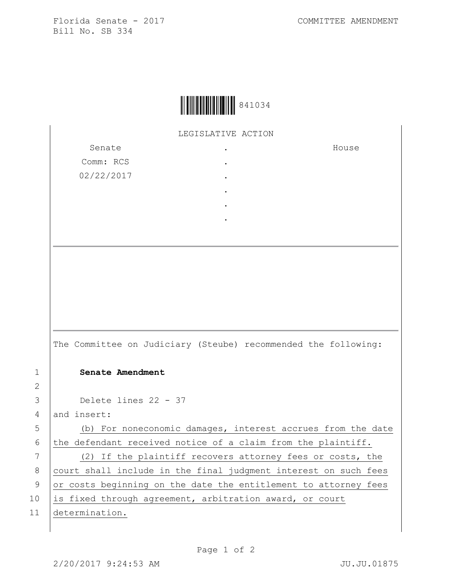Florida Senate - 2017 COMMITTEE AMENDMENT Bill No. SB 334



LEGISLATIVE ACTION

. . . . . .

Senate Comm: RCS 02/22/2017

House

The Committee on Judiciary (Steube) recommended the following: 1 **Senate Amendment**  3 Delete lines 22 - 37 4 and insert: 5 (b) For noneconomic damages, interest accrues from the date 6 the defendant received notice of a claim from the plaintiff. 7 (2) If the plaintiff recovers attorney fees or costs, the 8 court shall include in the final judgment interest on such fees 9 or costs beginning on the date the entitlement to attorney fees 10 is fixed through agreement, arbitration award, or court

11 determination.

2